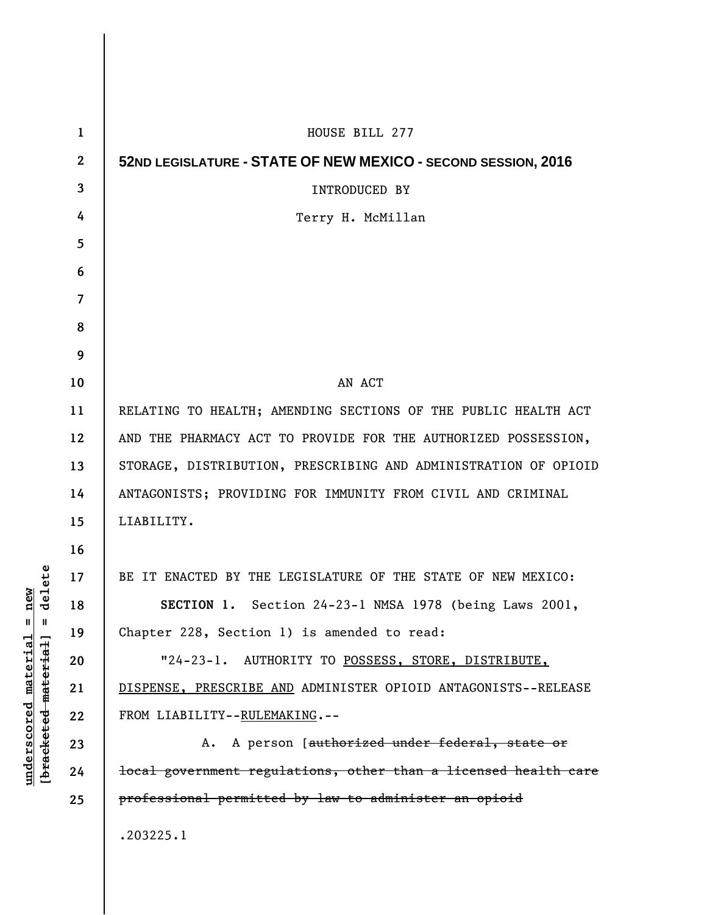| 1                        | HOUSE BILL 277                                                  |
|--------------------------|-----------------------------------------------------------------|
| $\mathbf{2}$             | 52ND LEGISLATURE - STATE OF NEW MEXICO - SECOND SESSION, 2016   |
| 3                        | INTRODUCED BY                                                   |
| 4                        | Terry H. McMillan                                               |
| 5                        |                                                                 |
| 6                        |                                                                 |
| $\overline{\mathcal{L}}$ |                                                                 |
| 8                        |                                                                 |
| 9                        |                                                                 |
| 10                       | AN ACT                                                          |
| 11                       | RELATING TO HEALTH; AMENDING SECTIONS OF THE PUBLIC HEALTH ACT  |
| 12                       | AND THE PHARMACY ACT TO PROVIDE FOR THE AUTHORIZED POSSESSION,  |
| 13                       | STORAGE, DISTRIBUTION, PRESCRIBING AND ADMINISTRATION OF OPIOID |
| 14                       | ANTAGONISTS; PROVIDING FOR IMMUNITY FROM CIVIL AND CRIMINAL     |
| 15                       | LIABILITY.                                                      |
| 16                       |                                                                 |
| 17                       | BE IT ENACTED BY THE LEGISLATURE OF THE STATE OF NEW MEXICO:    |
| 18                       | <b>SECTION 1.</b> Section 24-23-1 NMSA 1978 (being Laws 2001,   |
| 19                       | Chapter 228, Section 1) is amended to read:                     |
| 20                       | "24-23-1. AUTHORITY TO POSSESS, STORE, DISTRIBUTE,              |
| 21                       | DISPENSE, PRESCRIBE AND ADMINISTER OPIOID ANTAGONISTS--RELEASE  |
| 22                       | FROM LIABILITY--RULEMAKING.--                                   |
| 23                       | A. A person [authorized under federal, state or                 |
| 24                       | local government regulations, other than a licensed health care |
| 25                       | professional permitted by law to administer an opioid           |
|                          | .203225.1                                                       |
|                          |                                                                 |

 $\overline{\phantom{a}}$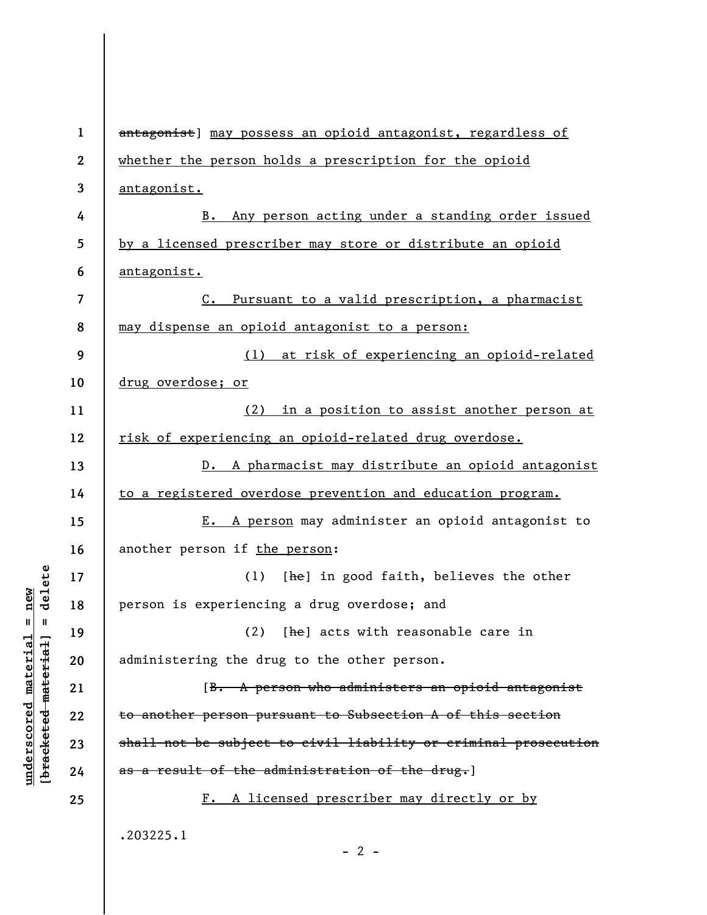| $\mathbf{1}$ | antagonist] may possess an opioid antagonist, regardless of     |
|--------------|-----------------------------------------------------------------|
| 2            | whether the person holds a prescription for the opioid          |
| 3            | antagonist.                                                     |
| 4            | B. Any person acting under a standing order issued              |
| 5            | by a licensed prescriber may store or distribute an opioid      |
| 6            | antagonist.                                                     |
| 7            | C. Pursuant to a valid prescription, a pharmacist               |
| 8            | may dispense an opioid antagonist to a person:                  |
| 9            | (1) at risk of experiencing an opioid-related                   |
| 10           | drug overdose; or                                               |
| 11           | (2) in a position to assist another person at                   |
| 12           | risk of experiencing an opioid-related drug overdose.           |
| 13           | D. A pharmacist may distribute an opioid antagonist             |
| 14           | to a registered overdose prevention and education program.      |
| 15           | E. A person may administer an opioid antagonist to              |
| 16           | another person if the person:                                   |
| 17           | [he] in good faith, believes the other<br>(1)                   |
| 18           | person is experiencing a drug overdose; and                     |
| 19           | (2) [he] acts with reasonable care in                           |
| 20           | administering the drug to the other person.                     |
| 21           | [B. A person who administers an opioid antagonist               |
| 22           | to another person pursuant to Subsection A of this section      |
| 23           | shall not be subject to civil liability or criminal prosecution |
| 24           | as a result of the administration of the drug.]                 |
| 25           | F. A licensed prescriber may directly or by                     |
|              | .203225.1<br>$-2-$                                              |

 $[bracketeed-materiat] = delete$ **[bracketed material] = delete**  $underscored material = new$ **underscored material = new**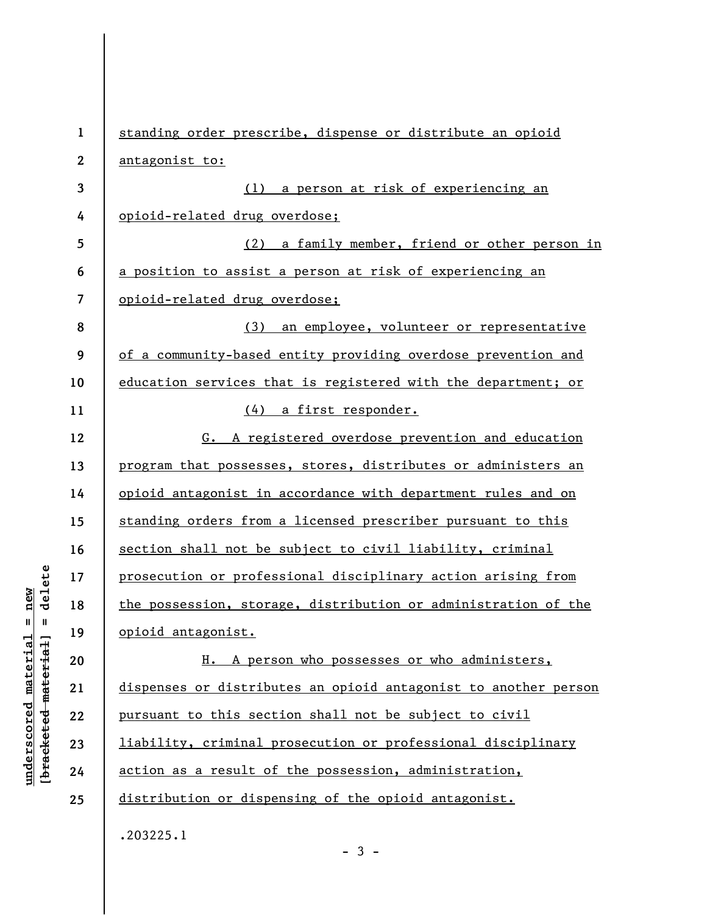**1 2 3 4 5 6 7 8 9 10 11 12 13 14 15 16 17 18 19 20 21 22 23 24 25**  standing order prescribe, dispense or distribute an opioid antagonist to: (1) a person at risk of experiencing an opioid-related drug overdose; (2) a family member, friend or other person in a position to assist a person at risk of experiencing an opioid-related drug overdose; (3) an employee, volunteer or representative of a community-based entity providing overdose prevention and education services that is registered with the department; or (4) a first responder. G. A registered overdose prevention and education program that possesses, stores, distributes or administers an opioid antagonist in accordance with department rules and on standing orders from a licensed prescriber pursuant to this section shall not be subject to civil liability, criminal prosecution or professional disciplinary action arising from the possession, storage, distribution or administration of the opioid antagonist. H. A person who possesses or who administers, dispenses or distributes an opioid antagonist to another person pursuant to this section shall not be subject to civil liability, criminal prosecution or professional disciplinary action as a result of the possession, administration, distribution or dispensing of the opioid antagonist. .203225.1  $-3 -$ 

delete **[bracketed material] = delete**  $anderscored material = new$ **underscored material = new**  $\mathbf{I}$ bracketed material]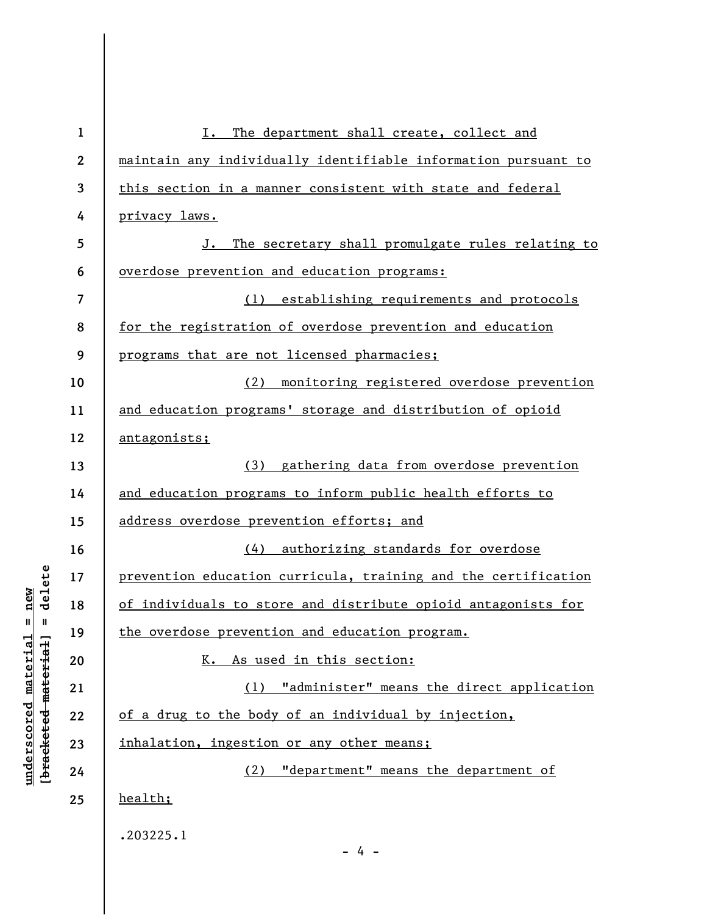| $\mathbf{1}$ | The department shall create, collect and<br>I.                 |
|--------------|----------------------------------------------------------------|
| $\mathbf{2}$ | maintain any individually identifiable information pursuant to |
| 3            | this section in a manner consistent with state and federal     |
| 4            | privacy laws.                                                  |
| 5            | The secretary shall promulgate rules relating to<br>J.         |
| 6            | overdose prevention and education programs:                    |
| 7            | (1) establishing requirements and protocols                    |
| 8            | for the registration of overdose prevention and education      |
| 9            | programs that are not licensed pharmacies;                     |
| 10           | (2) monitoring registered overdose prevention                  |
| 11           | and education programs' storage and distribution of opioid     |
| 12           | antagonists;                                                   |
| 13           | (3) gathering data from overdose prevention                    |
| 14           | and education programs to inform public health efforts to      |
| 15           | address overdose prevention efforts; and                       |
| 16           | (4) authorizing standards for overdose                         |
| 17           | prevention education curricula, training and the certification |
| 18           | of individuals to store and distribute opioid antagonists for  |
| 19           | the overdose prevention and education program.                 |
| 20           | K. As used in this section:                                    |
| 21           | "administer" means the direct application<br>(1)               |
| 22           | of a drug to the body of an individual by injection,           |
| 23           | inhalation, ingestion or any other means;                      |
| 24           | "department" means the department of<br>(2)                    |
| 25           | health;                                                        |
|              | .203225.1                                                      |
|              | - 4 -                                                          |

**underscored material = new [bracketed material] = delete**

 $[bracketeed-materiat] = delete$  $underscored material = new$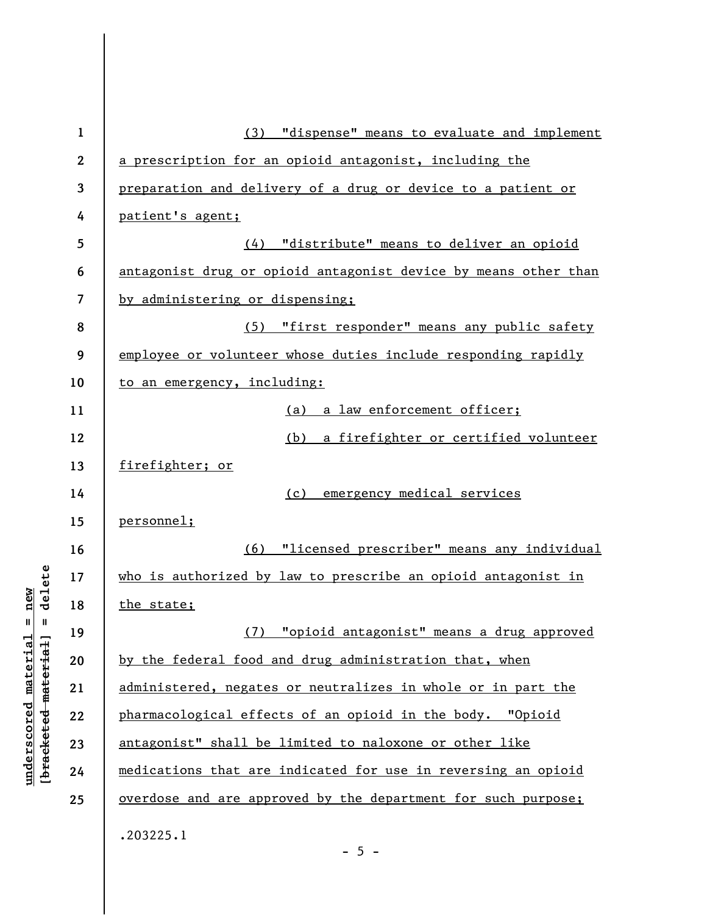| $\mathbf{1}$     | (3) "dispense" means to evaluate and implement                  |
|------------------|-----------------------------------------------------------------|
| $\boldsymbol{2}$ | a prescription for an opioid antagonist, including the          |
| 3                | preparation and delivery of a drug or device to a patient or    |
| 4                | patient's agent;                                                |
| 5                | (4) "distribute" means to deliver an opioid                     |
| 6                | antagonist drug or opioid antagonist device by means other than |
| 7                | by administering or dispensing;                                 |
| 8                | (5) "first responder" means any public safety                   |
| 9                | employee or volunteer whose duties include responding rapidly   |
| 10               | to an emergency, including:                                     |
| 11               | a law enforcement officer;<br>(a)                               |
| 12               | (b)<br>a firefighter or certified volunteer                     |
| 13               | firefighter; or                                                 |
| 14               | (c)<br>emergency medical services                               |
| 15               | personnel;                                                      |
| 16               | (6) "licensed prescriber" means any individual                  |
| 17               | who is authorized by law to prescribe an opioid antagonist in   |
| 18               | the state;                                                      |
| 19               | (7) "opioid antagonist" means a drug approved                   |
| 20               | by the federal food and drug administration that, when          |
| 21               | administered, negates or neutralizes in whole or in part the    |
| 22               | pharmacological effects of an opioid in the body. "Opioid       |
| 23               | antagonist" shall be limited to naloxone or other like          |
| 24               | medications that are indicated for use in reversing an opioid   |
| 25               | overdose and are approved by the department for such purpose;   |
|                  | .203225.1<br>$-5 -$                                             |

**underscored material = new [bracketed material] = delete**

 $[bracketeed-materiat] = delete$  $underscored material = new$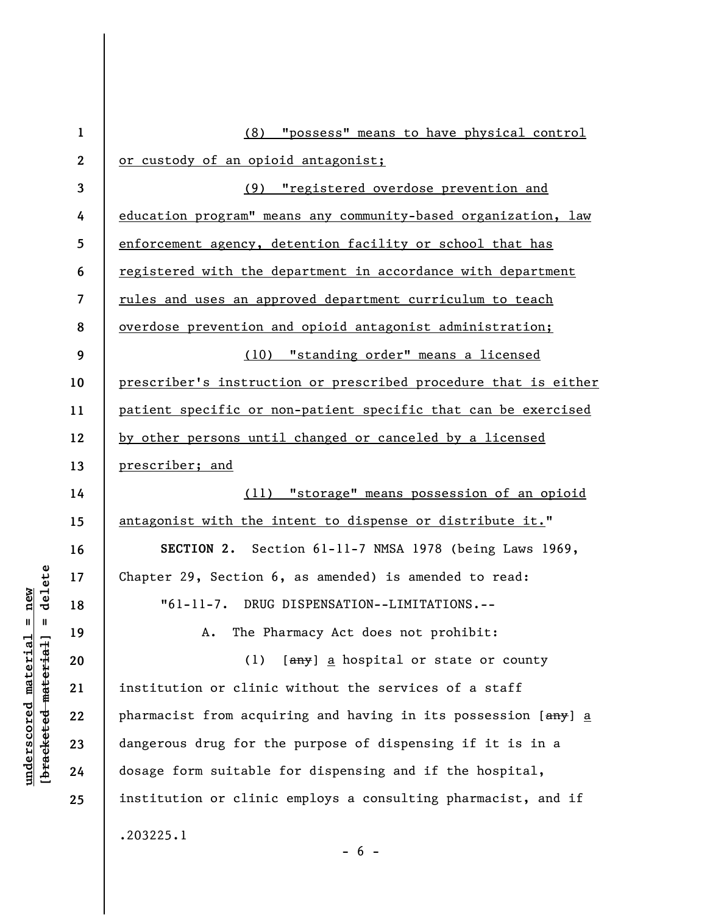| $\mathbf{1}$   | (8) "possess" means to have physical control                    |
|----------------|-----------------------------------------------------------------|
| $\mathbf{2}$   | or custody of an opioid antagonist;                             |
| $\overline{3}$ | (9) "registered overdose prevention and                         |
| 4              | education program" means any community-based organization, law  |
| 5              | enforcement agency, detention facility or school that has       |
| 6              | registered with the department in accordance with department    |
| $\overline{7}$ | rules and uses an approved department curriculum to teach       |
| 8              | overdose prevention and opioid antagonist administration;       |
| 9              | (10) "standing order" means a licensed                          |
| 10             | prescriber's instruction or prescribed procedure that is either |
| 11             | patient specific or non-patient specific that can be exercised  |
| 12             | by other persons until changed or canceled by a licensed        |
| 13             | prescriber; and                                                 |
| 14             | (11) "storage" means possession of an opioid                    |
| 15             | antagonist with the intent to dispense or distribute it."       |
| 16             | SECTION 2. Section 61-11-7 NMSA 1978 (being Laws 1969,          |
| 17             | Chapter 29, Section 6, as amended) is amended to read:          |
| 18             | "61-11-7. DRUG DISPENSATION--LIMITATIONS.--                     |
| 19             | A. The Pharmacy Act does not prohibit:                          |
| 20             | [any] a hospital or state or county<br>(1)                      |
| 21             | institution or clinic without the services of a staff           |
| 22             | pharmacist from acquiring and having in its possession [any] a  |
| 23             | dangerous drug for the purpose of dispensing if it is in a      |
| 24             | dosage form suitable for dispensing and if the hospital,        |
| 25             | institution or clinic employs a consulting pharmacist, and if   |
|                | .203225.1                                                       |

 $[bracketeed-materiat] = delete$ **[bracketed material] = delete**  $underscored material = new$ **underscored material = new**

- 6 -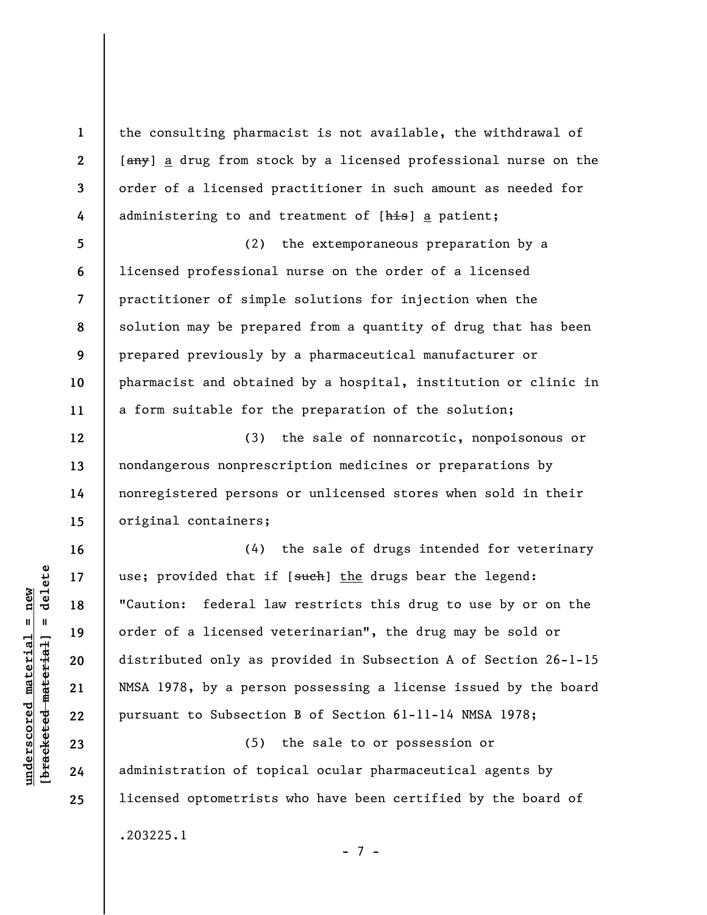the consulting pharmacist is not available, the withdrawal of [any] a drug from stock by a licensed professional nurse on the order of a licensed practitioner in such amount as needed for administering to and treatment of [his] a patient;

**5 6 7 8 9 10 11**  (2) the extemporaneous preparation by a licensed professional nurse on the order of a licensed practitioner of simple solutions for injection when the solution may be prepared from a quantity of drug that has been prepared previously by a pharmaceutical manufacturer or pharmacist and obtained by a hospital, institution or clinic in a form suitable for the preparation of the solution;

(3) the sale of nonnarcotic, nonpoisonous or nondangerous nonprescription medicines or preparations by nonregistered persons or unlicensed stores when sold in their original containers;

(4) the sale of drugs intended for veterinary use; provided that if [such] the drugs bear the legend: "Caution: federal law restricts this drug to use by or on the order of a licensed veterinarian", the drug may be sold or distributed only as provided in Subsection A of Section 26-1-15 NMSA 1978, by a person possessing a license issued by the board pursuant to Subsection B of Section 61-11-14 NMSA 1978;

(5) the sale to or possession or administration of topical ocular pharmaceutical agents by licensed optometrists who have been certified by the board of .203225.1

 $\frac{1}{2}$  bracketed material = delete **[bracketed material] = delete**  $underscored material = new$ **underscored material = new**

**1** 

**2** 

**3** 

**4** 

**12** 

**13** 

**14** 

**15** 

**16** 

**17** 

**18** 

**19** 

**20** 

**21** 

**22** 

**23** 

**24** 

**25** 

- 7 -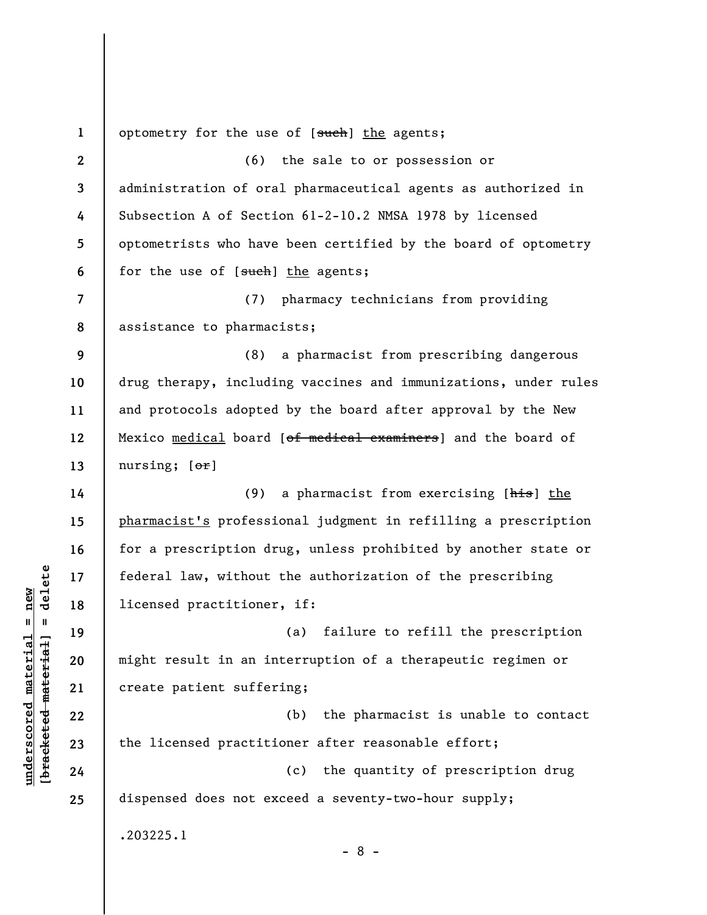**1 2 3 4 5 6 7 8 9 10 11 12 13 14 15 16 17 18 19 20 21 22 23 24 25**  optometry for the use of [such] the agents; (6) the sale to or possession or administration of oral pharmaceutical agents as authorized in Subsection A of Section 61-2-10.2 NMSA 1978 by licensed optometrists who have been certified by the board of optometry for the use of [such] the agents; (7) pharmacy technicians from providing assistance to pharmacists; (8) a pharmacist from prescribing dangerous drug therapy, including vaccines and immunizations, under rules and protocols adopted by the board after approval by the New Mexico medical board [of medical examiners] and the board of nursing; [or] (9) a pharmacist from exercising [his] the pharmacist's professional judgment in refilling a prescription for a prescription drug, unless prohibited by another state or federal law, without the authorization of the prescribing licensed practitioner, if: (a) failure to refill the prescription might result in an interruption of a therapeutic regimen or create patient suffering; (b) the pharmacist is unable to contact the licensed practitioner after reasonable effort; (c) the quantity of prescription drug dispensed does not exceed a seventy-two-hour supply; .203225.1 - 8 -

**underscored material = new [bracketed material] = delete**

 $\frac{1}{2}$  intereted material = delete  $underscored material = new$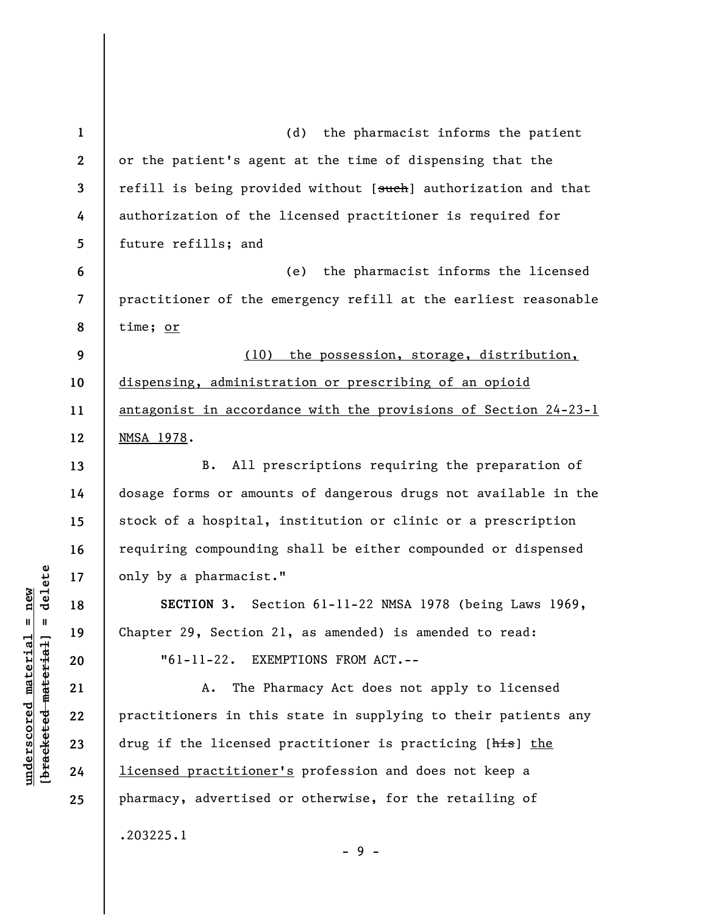**1 2 3 4 5 6 7 8 9 10 11 12 13 14 15 16 17 18 19 20 21 22 23 24 25**  (d) the pharmacist informs the patient or the patient's agent at the time of dispensing that the refill is being provided without [such] authorization and that authorization of the licensed practitioner is required for future refills; and (e) the pharmacist informs the licensed practitioner of the emergency refill at the earliest reasonable time; or (10) the possession, storage, distribution, dispensing, administration or prescribing of an opioid antagonist in accordance with the provisions of Section 24-23-1 NMSA 1978. B. All prescriptions requiring the preparation of dosage forms or amounts of dangerous drugs not available in the stock of a hospital, institution or clinic or a prescription requiring compounding shall be either compounded or dispensed only by a pharmacist." **SECTION 3.** Section 61-11-22 NMSA 1978 (being Laws 1969, Chapter 29, Section 21, as amended) is amended to read: "61-11-22. EXEMPTIONS FROM ACT.-- A. The Pharmacy Act does not apply to licensed practitioners in this state in supplying to their patients any drug if the licensed practitioner is practicing [his] the licensed practitioner's profession and does not keep a pharmacy, advertised or otherwise, for the retailing of .203225.1 - 9 -

 $\frac{1}{2}$  intereted material = delete **[bracketed material] = delete**  $underscored material = new$ **underscored material = new**